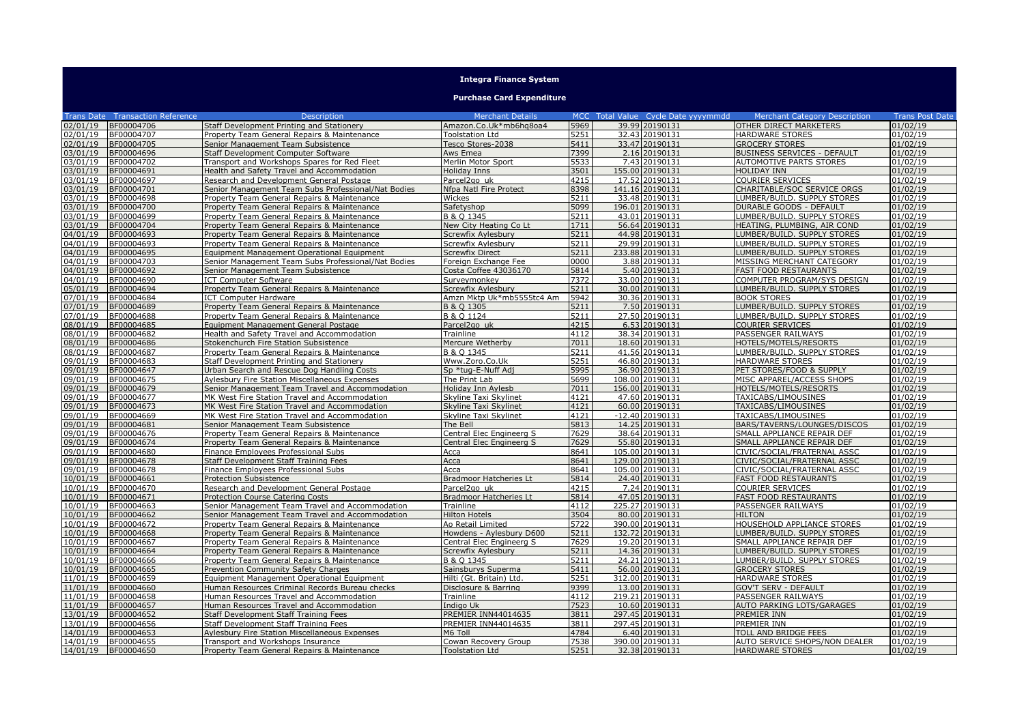## **Integra Finance System**

## **Purchase Card Expenditure**

|          |                                         |                                                     | <b>Merchant Details</b>       |      |                                     |                                      |                        |
|----------|-----------------------------------------|-----------------------------------------------------|-------------------------------|------|-------------------------------------|--------------------------------------|------------------------|
|          | <b>Trans Date Transaction Reference</b> | <b>Description</b>                                  |                               |      | MCC Total Value Cycle Date yyyymmdd | <b>Merchant Category Description</b> | <b>Trans Post Date</b> |
| 02/01/19 | BF00004706                              | Staff Development Printing and Stationery           | Amazon.Co.Uk*mb6hq8oa4        | 5969 | 39.99 20190131                      | OTHER DIRECT MARKETERS               | 01/02/19               |
| 02/01/19 | BF00004707                              | Property Team General Repairs & Maintenance         | Toolstation Ltd               | 5251 | 32.43 20190131                      | <b>HARDWARE STORES</b>               | 01/02/19               |
| 02/01/19 | BF00004705                              | Senior Management Team Subsistence                  | Tesco Stores-2038             | 5411 | 33.47 20190131                      | <b>GROCERY STORES</b>                | 01/02/19               |
| 03/01/19 | BF00004696                              | Staff Development Computer Software                 | Aws Emea                      | 7399 | 2.16 20190131                       | <b>BUSINESS SERVICES - DEFAULT</b>   | 01/02/19               |
| 03/01/19 | BF00004702                              | Transport and Workshops Spares for Red Fleet        | Merlin Motor Sport            | 5533 | 7.43 20190131                       | <b>AUTOMOTIVE PARTS STORES</b>       | 01/02/19               |
| 03/01/19 | BF00004691                              | Health and Safety Travel and Accommodation          | Holiday Inns                  | 3501 | 155.00 20190131                     | <b>HOLIDAY INN</b>                   | 01/02/19               |
| 03/01/19 | BF00004697                              | Research and Development General Postage            | Parcel <sub>2gouk</sub>       | 4215 | 17.52 20190131                      | <b>COURIER SERVICES</b>              | 01/02/19               |
| 03/01/19 | BF00004701                              | Senior Management Team Subs Professional/Nat Bodies | Nfpa Natl Fire Protect        | 8398 | 141.16 20190131                     | CHARITABLE/SOC SERVICE ORGS          | 01/02/19               |
| 03/01/19 | BF00004698                              | Property Team General Repairs & Maintenance         | Wickes                        | 5211 | 33.48 20190131                      | LUMBER/BUILD. SUPPLY STORES          | 01/02/19               |
| 03/01/19 | BF00004700                              | Property Team General Repairs & Maintenance         | Safetyshop                    | 5099 | 196.01 20190131                     | <b>DURABLE GOODS - DEFAULT</b>       | 01/02/19               |
| 03/01/19 | BF00004699                              | Property Team General Repairs & Maintenance         | B & O 1345                    | 5211 | 43.01 20190131                      | LUMBER/BUILD. SUPPLY STORES          | 01/02/19               |
| 03/01/19 | BF00004704                              | Property Team General Repairs & Maintenance         | New City Heating Co Lt        | 1711 | 56.64 20190131                      | HEATING, PLUMBING, AIR COND          | 01/02/19               |
| 04/01/19 | BF00004693                              | Property Team General Repairs & Maintenance         | Screwfix Aylesbury            | 5211 | 44.98 20190131                      | LUMBER/BUILD. SUPPLY STORES          | 01/02/19               |
| 04/01/19 | BF00004693                              | Property Team General Repairs & Maintenance         | Screwfix Aylesbury            | 5211 | 29.99 20190131                      | LUMBER/BUILD. SUPPLY STORES          | 01/02/19               |
| 04/01/19 | BF00004695                              | Equipment Management Operational Equipment          | <b>Screwfix Direct</b>        | 5211 | 233.88 20190131                     | LUMBER/BUILD. SUPPLY STORES          | 01/02/19               |
| 04/01/19 | BF00004703                              | Senior Management Team Subs Professional/Nat Bodies | Foreign Exchange Fee          | 0000 | 3.88 20190131                       | MISSING MERCHANT CATEGORY            | 01/02/19               |
| 04/01/19 | BF00004692                              | Senior Management Team Subsistence                  | Costa Coffee 43036170         | 5814 | 5.40 20190131                       | <b>FAST FOOD RESTAURANTS</b>         | 01/02/19               |
| 04/01/19 | BF00004690                              | <b>ICT Computer Software</b>                        | Surveymonkey                  | 7372 | 33.00 20190131                      | COMPUTER PROGRAM/SYS DESIGN          | 01/02/19               |
| 05/01/19 | BF00004694                              | Property Team General Repairs & Maintenance         | Screwfix Avlesbury            | 5211 | 30.00 20190131                      | LUMBER/BUILD, SUPPLY STORES          | 01/02/19               |
| 07/01/19 | BF00004684                              | <b>ICT Computer Hardware</b>                        | Amzn Mktp Uk*mb5555tc4 Am     | 5942 | 30.36 20190131                      | <b>BOOK STORES</b>                   | 01/02/19               |
| 07/01/19 | BF00004689                              | Property Team General Repairs & Maintenance         | B & O 1305                    | 5211 | 7.50 20190131                       | LUMBER/BUILD. SUPPLY STORES          | 01/02/19               |
| 07/01/19 | BF00004688                              | Property Team General Repairs & Maintenance         | B & O 1124                    | 5211 | 27.50 20190131                      | LUMBER/BUILD. SUPPLY STORES          | 01/02/19               |
| 08/01/19 | BF00004685                              | Equipment Management General Postage                | Parcel2go uk                  | 4215 | 6.53 20190131                       | <b>COURIER SERVICES</b>              | 01/02/19               |
| 08/01/19 | BF00004682                              | <b>Health and Safety Travel and Accommodation</b>   | Trainline                     | 4112 | 38.34 20190131                      | PASSENGER RAILWAYS                   | 01/02/19               |
| 08/01/19 | BF00004686                              | Stokenchurch Fire Station Subsistence               | Mercure Wetherby              | 7011 | 18.60 20190131                      | HOTELS/MOTELS/RESORTS                | 01/02/19               |
| 08/01/19 | BF00004687                              | Property Team General Repairs & Maintenance         | B & O 1345                    | 5211 | 41.56 20190131                      | LUMBER/BUILD. SUPPLY STORES          | 01/02/19               |
| 09/01/19 | BF00004683                              | Staff Development Printing and Stationery           | Www.Zoro.Co.Uk                | 5251 | 46.80 20190131                      | <b>HARDWARE STORES</b>               | 01/02/19               |
| 09/01/19 | BF00004647                              | Urban Search and Rescue Dog Handling Costs          | Sp *tug-E-Nuff Adj            | 5995 | 36.90 20190131                      | PET STORES/FOOD & SUPPLY             | 01/02/19               |
| 09/01/19 | BF00004675                              | Aylesbury Fire Station Miscellaneous Expenses       | The Print Lab                 | 5699 | 108.00 20190131                     | MISC APPAREL/ACCESS SHOPS            | 01/02/19               |
| 09/01/19 | BF00004679                              | Senior Management Team Travel and Accommodation     | Holiday Inn Aylesb            | 7011 | 156.00 20190131                     | HOTELS/MOTELS/RESORTS                | 01/02/19               |
| 09/01/19 | BF00004677                              | MK West Fire Station Travel and Accommodation       | Skyline Taxi Skylinet         | 4121 | 47.60 20190131                      | TAXICABS/LIMOUSINES                  | 01/02/19               |
| 09/01/19 | BF00004673                              | MK West Fire Station Travel and Accommodation       | Skyline Taxi Skylinet         | 4121 | 60.00 20190131                      | TAXICABS/LIMOUSINES                  | 01/02/19               |
| 09/01/19 | BF00004669                              | MK West Fire Station Travel and Accommodation       | <b>Skyline Taxi Skylinet</b>  | 4121 | $-12.40$ 20190131                   | TAXICABS/LIMOUSINES                  | 01/02/19               |
| 09/01/19 | BF00004681                              | Senior Management Team Subsistence                  | The Bell                      | 5813 | 14.25 20190131                      | BARS/TAVERNS/LOUNGES/DISCOS          | 01/02/19               |
| 09/01/19 | BF00004676                              | Property Team General Repairs & Maintenance         | Central Elec Engineerg S      | 7629 | 38.64 20190131                      | SMALL APPLIANCE REPAIR DEF           | 01/02/19               |
| 09/01/19 | BF00004674                              | Property Team General Repairs & Maintenance         | Central Elec Engineerg S      | 7629 | 55.80 20190131                      | SMALL APPLIANCE REPAIR DEF           | 01/02/19               |
| 09/01/19 | BF00004680                              | Finance Employees Professional Subs                 | Acca                          | 8641 | 105.00 20190131                     | CIVIC/SOCIAL/FRATERNAL ASSC          | 01/02/19               |
| 09/01/19 | BF00004678                              | Staff Development Staff Training Fees               | Acca                          | 8641 | 129.00 20190131                     | CIVIC/SOCIAL/FRATERNAL ASSC          | 01/02/19               |
| 09/01/19 |                                         |                                                     | Acca                          | 8641 | 105.00 20190131                     |                                      | 01/02/19               |
|          | BF00004678                              | Finance Employees Professional Subs                 |                               |      |                                     | CIVIC/SOCIAL/FRATERNAL ASSC          |                        |
| 10/01/19 | BF00004661                              | <b>Protection Subsistence</b>                       | <b>Bradmoor Hatcheries Lt</b> | 5814 | 24.40 20190131                      | <b>FAST FOOD RESTAURANTS</b>         | 01/02/19               |
| 10/01/19 | BF00004670                              | Research and Development General Postage            | Parcel <sub>2aouk</sub>       | 4215 | 7.24 20190131                       | <b>COURIER SERVICES</b>              | 01/02/19               |
| 10/01/19 | BF00004671                              | <b>Protection Course Catering Costs</b>             | <b>Bradmoor Hatcheries Lt</b> | 5814 | 47.05 20190131                      | <b>FAST FOOD RESTAURANTS</b>         | 01/02/19               |
| 10/01/19 | BF00004663                              | Senior Management Team Travel and Accommodation     | Trainline                     | 4112 | 225.27 20190131                     | <b>PASSENGER RAILWAYS</b>            | 01/02/19               |
| 10/01/19 | BF00004662                              | Senior Management Team Travel and Accommodation     | <b>Hilton Hotels</b>          | 3504 | 80.00 20190131                      | <b>HILTON</b>                        | 01/02/19               |
| 10/01/19 | BF00004672                              | Property Team General Repairs & Maintenance         | Ao Retail Limited             | 5722 | 390.00 20190131                     | HOUSEHOLD APPLIANCE STORES           | 01/02/19               |
| 10/01/19 | BF00004668                              | Property Team General Repairs & Maintenance         | Howdens - Aylesbury D600      | 5211 | 132.72 20190131                     | LUMBER/BUILD, SUPPLY STORES          | 01/02/19               |
| 10/01/19 | BF00004667                              | Property Team General Repairs & Maintenance         | Central Elec Engineerg S      | 7629 | 19.20 20190131                      | SMALL APPLIANCE REPAIR DEF           | 01/02/19               |
| 10/01/19 | BF00004664                              | Property Team General Repairs & Maintenance         | Screwfix Avlesbury            | 5211 | 14.36 20190131                      | LUMBER/BUILD, SUPPLY STORES          | 01/02/19               |
| 10/01/19 | BF00004666                              | Property Team General Repairs & Maintenance         | B & O 1345                    | 5211 | 24.21 20190131                      | LUMBER/BUILD. SUPPLY STORES          | 01/02/19               |
| 10/01/19 | BF00004665                              | Prevention Community Safety Charges                 | Sainsburys Superma            | 5411 | 56.00 20190131                      | <b>GROCERY STORES</b>                | 01/02/19               |
| 11/01/19 | BF00004659                              | Equipment Management Operational Equipment          | Hilti (Gt. Britain) Ltd.      | 5251 | 312.00 20190131                     | <b>HARDWARE STORES</b>               | 01/02/19               |
| 11/01/19 | BF00004660                              | Human Resources Criminal Records Bureau checks      | Disclosure & Barring          | 9399 | 13.00 20190131                      | <b>GOV'T SERV - DEFAULT</b>          | 01/02/19               |
| 11/01/19 | BF00004658                              | Human Resources Travel and Accommodation            | Trainline                     | 4112 | 219.21 20190131                     | <b>PASSENGER RAILWAYS</b>            | 01/02/19               |
| 11/01/19 | BF00004657                              | Human Resources Travel and Accommodation            | Indiao Uk                     | 7523 | 10.60 20190131                      | AUTO PARKING LOTS/GARAGES            | 01/02/19               |
| 13/01/19 | BF00004652                              | Staff Development Staff Training Fees               | PREMIER INN44014635           | 3811 | 297.45 20190131                     | <b>PREMIER INN</b>                   | 01/02/19               |
| 13/01/19 | BF00004656                              | Staff Development Staff Training Fees               | PREMIER INN44014635           | 3811 | 297.45 20190131                     | <b>PREMIER INN</b>                   | 01/02/19               |
| 14/01/19 | BF00004653                              | Aylesbury Fire Station Miscellaneous Expenses       | M6 Toll                       | 4784 | 6.40 20190131                       | <b>TOLL AND BRIDGE FEES</b>          | 01/02/19               |
| 14/01/19 | BF00004655                              | Transport and Workshops Insurance                   | Cowan Recovery Group          | 7538 | 390.00 20190131                     | AUTO SERVICE SHOPS/NON DEALER        | 01/02/19               |
| 14/01/19 | BF00004650                              | Property Team General Repairs & Maintenance         | <b>Toolstation Ltd</b>        | 5251 | 32.38 20190131                      | <b>HARDWARE STORES</b>               | 01/02/19               |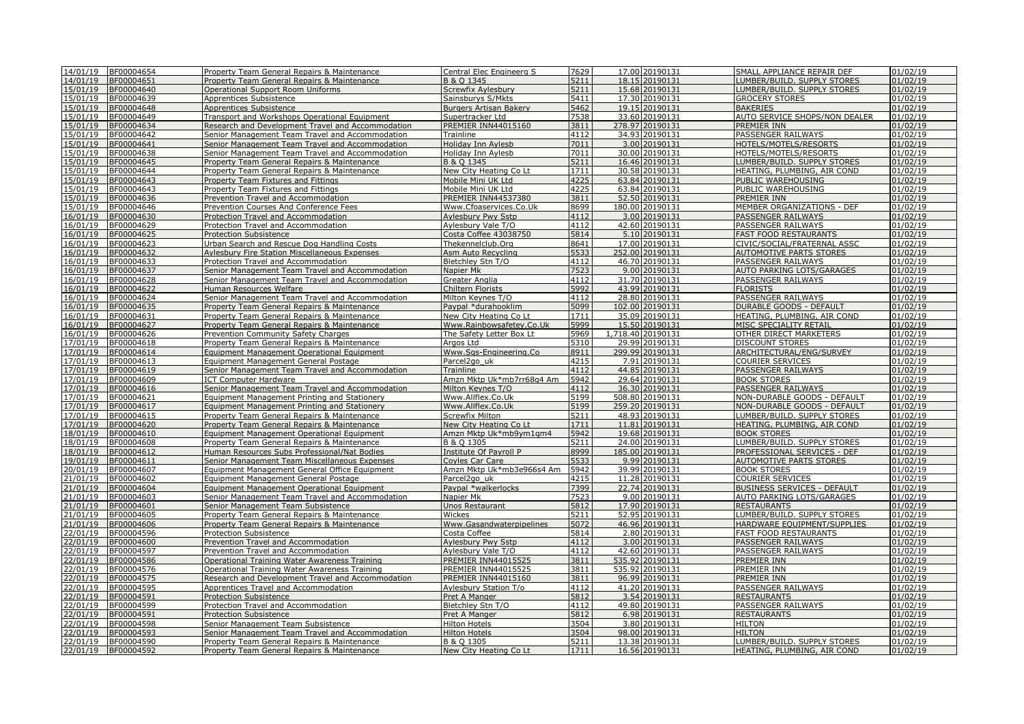|                      | 14/01/19 BF00004654      | Property Team General Repairs & Maintenance                                                | Central Elec Engineerg S                         | 7629         | 17.00 20190131                   | SMALL APPLIANCE REPAIR DEF                                 | 01/02/19             |
|----------------------|--------------------------|--------------------------------------------------------------------------------------------|--------------------------------------------------|--------------|----------------------------------|------------------------------------------------------------|----------------------|
| 14/01/19             | BF00004651               | Property Team General Repairs & Maintenance                                                | B & O 1345                                       | 5211         | 18.15 20190131                   | LUMBER/BUILD. SUPPLY STORES                                | 01/02/19             |
| 15/01/19             | BF00004640               | <b>Operational Support Room Uniforms</b>                                                   | Screwfix Aylesbury                               | 5211         | 15.68 20190131                   | LUMBER/BUILD. SUPPLY STORES                                | 01/02/19             |
| 15/01/19             | BF00004639               | Apprentices Subsistence                                                                    | Sainsburys S/Mkts                                | 5411         | 17.30 20190131                   | <b>GROCERY STORES</b>                                      | 01/02/19             |
| 15/01/19             | BF00004648               | <b>Apprentices Subsistence</b>                                                             | <b>Burgers Artisan Bakery</b>                    | 5462         | 19.15 20190131                   | <b>BAKERIES</b>                                            | 01/02/19             |
| 15/01/19             | BF00004649               | Transport and Workshops Operational Equipment                                              | Supertracker Ltd                                 | 7538         | 33.60 20190131                   | AUTO SERVICE SHOPS/NON DEALER                              | 01/02/19             |
| 15/01/19             | BF00004634               | Research and Development Travel and Accommodation                                          | <b>PREMIER INN44015160</b>                       | 3811         | 278.97 20190131                  | PREMIER INN                                                | 01/02/19             |
| 15/01/19             | BF00004642               | Senior Management Team Travel and Accommodation                                            | Trainline                                        | 4112         | 34.93 20190131                   | PASSENGER RAILWAYS                                         | 01/02/19             |
| 15/01/19             | BF00004641               | Senior Management Team Travel and Accommodation                                            | Holiday Inn Aylesb                               | 7011         | 3.00 20190131                    | HOTELS/MOTELS/RESORTS                                      | 01/02/19             |
| 15/01/19             | BF00004638               | Senior Management Team Travel and Accommodation                                            | Holiday Inn Aylesb                               | 7011         | 30.00 20190131                   | HOTELS/MOTELS/RESORTS                                      | 01/02/19             |
| 15/01/19             | BF00004645               | Property Team General Repairs & Maintenance                                                | B & O 1345                                       | 5211         | 16.46 20190131                   | LUMBER/BUILD, SUPPLY STORES                                | 01/02/19             |
| 15/01/19             | BF00004644               | Property Team General Repairs & Maintenance                                                | New City Heating Co Lt                           | 1711         | 30.58 20190131                   | HEATING, PLUMBING, AIR COND                                | 01/02/19             |
| 15/01/19             | BF00004643               | Property Team Fixtures and Fittings                                                        | Mobile Mini UK Ltd                               | 4225         | 63.84 20190131                   | PUBLIC WAREHOUSING                                         | 01/02/19             |
| 15/01/19             | BF00004643               | Property Team Fixtures and Fittings                                                        | Mobile Mini UK Ltd                               | 4225         | 63.84 20190131                   | PUBLIC WAREHOUSING                                         | 01/02/19             |
| 15/01/19             | BF00004636               | Prevention Travel and Accommodation                                                        | PREMIER INN44537380                              | 3811         | 52.50 20190131                   | PREMIER INN                                                | 01/02/19             |
| 15/01/19             | BF00004646               | Prevention Courses And Conference Fees                                                     | Www.Cfoaservices.Co.Uk                           | 8699         | 180.00 20190131                  | MEMBER ORGANIZATIONS - DEF                                 | 01/02/19             |
| 16/01/19             | BF00004630               | Protection Travel and Accommodation                                                        | <b>Aylesbury Pwy Sstp</b>                        | 4112         | 3.00 20190131                    | PASSENGER RAILWAYS                                         | 01/02/19             |
| 16/01/19             | BF00004629               | Protection Travel and Accommodation                                                        | Avlesbury Vale T/O                               | 4112         | 42.60 20190131                   | PASSENGER RAILWAYS                                         | 01/02/19             |
| 16/01/19             | BF00004625               | <b>Protection Subsistence</b>                                                              | Costa Coffee 43038750                            | 5814         | 5.10 20190131                    | <b>FAST FOOD RESTAURANTS</b>                               | 01/02/19             |
| 16/01/19             | BF00004623               | Urban Search and Rescue Dog Handling Costs                                                 | Thekennelclub.Org                                | 8641         | 17.00 20190131                   | CIVIC/SOCIAL/FRATERNAL ASSC                                | 01/02/19             |
| 16/01/19             | BF00004632               | <b>Aylesbury Fire Station Miscellaneous Expenses</b>                                       | Asm Auto Recycling                               | 5533         | 252.00 20190131                  | <b>AUTOMOTIVE PARTS STORES</b>                             | 01/02/19             |
| 16/01/19             | BF00004633               | Protection Travel and Accommodation                                                        | Bletchley Stn T/O                                | 4112         | 46.70 20190131                   | PASSENGER RAILWAYS                                         | 01/02/19             |
| 16/01/19             | BF00004637               | Senior Management Team Travel and Accommodation                                            | Napier Mk                                        | 7523         | 9.00 20190131                    | AUTO PARKING LOTS/GARAGES                                  | 01/02/19             |
| 16/01/19             | BF00004628               | Senior Management Team Travel and Accommodation                                            | Greater Anglia                                   | 4112         | 31.70 20190131                   | PASSENGER RAILWAYS                                         | 01/02/19             |
| 16/01/19             | BF00004622               | Human Resources Welfare                                                                    | Chiltern Florists                                | 5992         | 43.99 20190131                   | <b>FLORISTS</b>                                            | 01/02/19             |
| 16/01/19             | BF00004624               | Senior Management Team Travel and Accommodation                                            | Milton Keynes T/O                                | 4112         | 28.80 20190131                   | PASSENGER RAILWAYS                                         | 01/02/19             |
| 16/01/19             | BF00004635               | Property Team General Repairs & Maintenance                                                | Paypal *durahooklim                              | 5099         | 102.00 20190131                  | <b>DURABLE GOODS - DEFAULT</b>                             | 01/02/19             |
| 16/01/19             | BF00004631               | Property Team General Repairs & Maintenance                                                | New City Heating Co Lt                           | 1711         | 35.09 20190131                   | HEATING, PLUMBING, AIR COND                                | 01/02/19             |
| 16/01/19             | BF00004627               | Property Team General Repairs & Maintenance                                                | Www.Rainbowsafetey.Co.Uk                         | 5999         | 15.50 20190131                   | MISC SPECIALITY RETAIL                                     | 01/02/19             |
| 16/01/19             | BF00004626               | Prevention Community Safety Charges                                                        | The Safety Letter Box Lt                         | 5969         | 1,718.40 20190131                | OTHER DIRECT MARKETERS                                     | 01/02/19             |
| 17/01/19             | BF00004618               | Property Team General Repairs & Maintenance                                                | Argos Ltd                                        | 5310         | 29.99 20190131                   | <b>DISCOUNT STORES</b>                                     | 01/02/19             |
| 17/01/19             | BF00004614               | Equipment Management Operational Equipment                                                 | Www.Sqs-Engineering.Co                           | 8911         | 299.99 20190131                  | ARCHITECTURAL/ENG/SURVEY                                   | 01/02/19             |
| 17/01/19             | BF00004613               | Equipment Management General Postage                                                       | Parcel <sub>2gouk</sub>                          | 4215         | 7.91 20190131                    | <b>COURIER SERVICES</b>                                    | 01/02/19             |
| 17/01/19             | BF00004619               | Senior Management Team Travel and Accommodation                                            | Trainline                                        | 4112         | 44.85 20190131                   | PASSENGER RAILWAYS                                         | 01/02/19             |
| 17/01/19             | BF00004609               | <b>ICT Computer Hardware</b>                                                               | Amzn Mktp Uk*mb7rr68q4 Am                        | 5942         | 29.64 20190131                   | <b>BOOK STORES</b>                                         | 01/02/19             |
| 17/01/19             | BF00004616               | Senior Management Team Travel and Accommodation                                            | Milton Keynes T/O                                | 4112         | 36.30 20190131                   | PASSENGER RAILWAYS                                         | 01/02/19             |
| 17/01/19             | BF00004621               | Equipment Management Printing and Stationery                                               | Www.Allflex.Co.Uk                                | 5199         | 508.80 20190131                  | NON-DURABLE GOODS - DEFAULT                                | 01/02/19             |
| 17/01/19             | BF00004617               | Equipment Management Printing and Stationery                                               | Www.Allflex.Co.Uk                                | 5199         | 259.20 20190131                  | NON-DURABLE GOODS - DEFAULT                                | 01/02/19             |
| 17/01/19             | BF00004615               | Property Team General Repairs & Maintenance                                                | Screwfix Milton                                  | 5211         | 48.93 20190131                   | LUMBER/BUILD. SUPPLY STORES                                | 01/02/19             |
| 17/01/19             | BF00004620               | Property Team General Repairs & Maintenance                                                | New City Heating Co Lt                           | 1711         | 11.81 20190131                   | HEATING, PLUMBING, AIR COND                                | 01/02/19             |
| 18/01/19             | BF00004610               | Equipment Management Operational Equipment                                                 | Amzn Mktp Uk*mb9ym1gm4                           | 5942         | 19.68 20190131                   | <b>BOOK STORES</b>                                         | 01/02/19             |
| 18/01/19             | BF00004608               | Property Team General Repairs & Maintenance                                                | B & Q 1305                                       | 5211         | 24.00 20190131                   | LUMBER/BUILD. SUPPLY STORES                                | 01/02/19             |
| 18/01/19             | BF00004612               | Human Resources Subs Professional/Nat Bodies                                               | Institute Of Payroll P                           | 8999         | 185.00 20190131                  | PROFESSIONAL SERVICES - DEF                                | 01/02/19             |
| 19/01/19             | BF00004611               | Senior Management Team Miscellaneous Expenses                                              | Covles Car Care                                  | 5533         | 9.99 20190131                    | <b>AUTOMOTIVE PARTS STORES</b>                             | 01/02/19             |
| 20/01/19             | BF00004607               | Equipment Management General Office Equipment                                              | Amzn Mktp Uk*mb3e966s4 Am                        | 5942         | 39.99 20190131                   | <b>BOOK STORES</b>                                         | 01/02/19             |
| 21/01/19             | BF00004602               | Equipment Management General Postage                                                       | Parcel <sub>2aouk</sub>                          | 4215         | 11.28 20190131                   | <b>COURIER SERVICES</b>                                    | 01/02/19             |
| 21/01/19             | BF00004604               | Equipment Management Operational Equipment                                                 | Paypal *walkerlocks                              | 7399         | 22.74 20190131                   | <b>BUSINESS SERVICES - DEFAULT</b>                         | 01/02/19             |
| 21/01/19<br>21/01/19 | BF00004603<br>BF00004601 | Senior Management Team Travel and Accommodation                                            | Napier Mk<br>Unos Restaurant                     | 7523<br>5812 | 9.00 20190131<br>17.90 20190131  | AUTO PARKING LOTS/GARAGES<br><b>RESTAURANTS</b>            | 01/02/19<br>01/02/19 |
| 21/01/19             |                          | Senior Management Team Subsistence                                                         |                                                  | 5211         |                                  |                                                            | 01/02/19             |
| 21/01/19             | BF00004605<br>BF00004606 | Property Team General Repairs & Maintenance<br>Property Team General Repairs & Maintenance | Wickes                                           | 5072         | 52.95 20190131<br>46.96 20190131 | LUMBER/BUILD. SUPPLY STORES<br>HARDWARE EOUIPMENT/SUPPLIES | 01/02/19             |
| 22/01/19             | BF00004596               | <b>Protection Subsistence</b>                                                              | Www.Gasandwaterpipelines<br>Costa Coffee         | 5814         | 2.80 20190131                    | <b>FAST FOOD RESTAURANTS</b>                               | 01/02/19             |
| 22/01/19             | BF00004600               | Prevention Travel and Accommodation                                                        | Aylesbury Pwy Sstp                               | 4112         | 3.00 20190131                    | PASSENGER RAILWAYS                                         | 01/02/19             |
| 22/01/19             | BF00004597               |                                                                                            |                                                  | 4112         | 42.60 20190131                   |                                                            | 01/02/19             |
| 22/01/19             | BF00004586               | Prevention Travel and Accommodation<br>Operational Training Water Awareness Training       | Aylesbury Vale T/O<br><b>PREMIER INN44015525</b> | 3811         | 535.92 20190131                  | PASSENGER RAILWAYS<br>PREMIER INN                          | 01/02/19             |
| 22/01/19             | BF00004576               | Operational Training Water Awareness Training                                              | <b>PREMIER INN44015525</b>                       | 3811         | 535.92 20190131                  | PREMIER INN                                                | 01/02/19             |
| 22/01/19             | BF00004575               | Research and Development Travel and Accommodation                                          | PREMIER INN44015160                              | 3811         | 96.99 20190131                   | PREMIER INN                                                | 01/02/19             |
| 22/01/19             | BF00004595               | Apprentices Travel and Accommodation                                                       | Aylesbury Station T/o                            | 4112         | 41.20 20190131                   | PASSENGER RAILWAYS                                         | 01/02/19             |
| 22/01/19             | BF00004591               | <b>Protection Subsistence</b>                                                              | Pret A Manger                                    | 5812         | 3.54 20190131                    | <b>RESTAURANTS</b>                                         | 01/02/19             |
| 22/01/19             | BF00004599               | Protection Travel and Accommodation                                                        | Bletchley Stn T/O                                | 4112         | 49.80 20190131                   | PASSENGER RAILWAYS                                         | 01/02/19             |
| 22/01/19             | BF00004591               | <b>Protection Subsistence</b>                                                              | Pret A Manger                                    | 5812         | 6.98 20190131                    | <b>RESTAURANTS</b>                                         | 01/02/19             |
| 22/01/19             | BF00004598               | Senior Management Team Subsistence                                                         | <b>Hilton Hotels</b>                             | 3504         | 3.80 20190131                    | <b>HILTON</b>                                              | 01/02/19             |
| 22/01/19             | BF00004593               | Senior Management Team Travel and Accommodation                                            | <b>Hilton Hotels</b>                             | 3504         | 98.00 20190131                   | <b>HILTON</b>                                              | 01/02/19             |
| 22/01/19             | BF00004590               | Property Team General Repairs & Maintenance                                                | B & O 1305                                       | 5211         | 13.38 20190131                   | LUMBER/BUILD. SUPPLY STORES                                | 01/02/19             |
|                      | 22/01/19 BF00004592      | Property Team General Repairs & Maintenance                                                | New City Heating Co Lt                           | 1711         | 16.56 20190131                   | HEATING, PLUMBING, AIR COND                                | 01/02/19             |
|                      |                          |                                                                                            |                                                  |              |                                  |                                                            |                      |